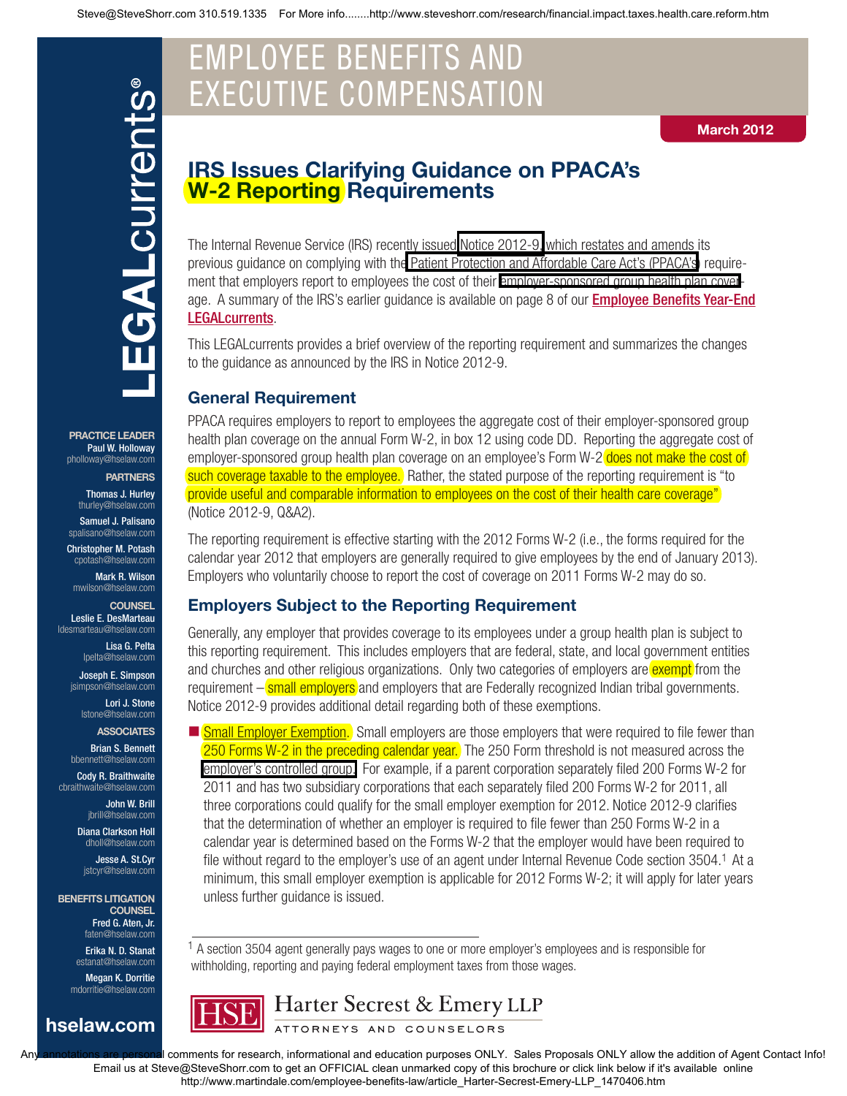# EMPLOYEE BENEFITS AND EXECUTIVE COMPENSATION

#### March 2012

# IRS Issues Clarifying Guidance on PPACA's W-2 Reporting Requirements

age. A summary of the IRS's earlier guidance is available on page 8 of our *Employee Benefits Year-End* The Internal Revenue Service (IRS) recently issued [Notice 2012-9,](http://www.steveshorr.com/research/Government_publications/irs.ruling.guidance.w.2.n-12-09-1.pdf) which restates and amends its previous guidance on complying with th[e Patient Protection and Affordable Care Act's \(PPACA's](http://www.steveshorr.com/research/index.htm)) requirement that employers report to employees the cost of their [employer-sponsored group health plan cover](http://www.steveshorr.com/AB_1672_Small_Group_Guaranteed_Issue/)-LEGALcurrents.

This LEGALcurrents provides a brief overview of the reporting requirement and summarizes the changes to the guidance as announced by the IRS in Notice 2012-9.

#### General Requirement

PPACA requires employers to report to employees the aggregate cost of their employer-sponsored group health plan coverage on the annual Form W-2, in box 12 using code DD. Reporting the aggregate cost of employer-sponsored group health plan coverage on an employee's Form W-2 does not make the cost of such coverage taxable to the employee. Rather, the stated purpose of the reporting requirement is "to provide useful and comparable information to employees on the cost of their health care coverage" (Notice 2012-9, Q&A2).

The reporting requirement is effective starting with the 2012 Forms W-2 (i.e., the forms required for the calendar year 2012 that employers are generally required to give employees by the end of January 2013). Employers who voluntarily choose to report the cost of coverage on 2011 Forms W-2 may do so.

#### Employers Subject to the Reporting Requirement

Generally, any employer that provides coverage to its employees under a group health plan is subject to this reporting requirement. This includes employers that are federal, state, and local government entities and churches and other religious organizations. Only two categories of employers are exempt from the requirement – **small employers** and employers that are Federally recognized Indian tribal governments. Notice 2012-9 provides additional detail regarding both of these exemptions.

**Small Employer Exemption.** Small employers are those employers that were required to file fewer than 250 Forms W-2 in the preceding calendar year. The 250 Form threshold is not measured across the [employer's controlled group.](http://www.steveshorr.com/AB_1672_Small_Group_Guaranteed_Issue/common.ownership.htm) For example, if a parent corporation separately filed 200 Forms W-2 for 2011 and has two subsidiary corporations that each separately filed 200 Forms W-2 for 2011, all three corporations could qualify for the small employer exemption for 2012. Notice 2012-9 clarifies that the determination of whether an employer is required to file fewer than 250 Forms W-2 in a calendar year is determined based on the Forms W-2 that the employer would have been required to file without regard to the employer's use of an agent under Internal Revenue Code section 3504.<sup>1</sup> At a minimum, this small employer exemption is applicable for 2012 Forms W-2; it will apply for later years unless further guidance is issued.

<sup>1</sup> A section 3504 agent generally pays wages to one or more employer's employees and is responsible for withholding, reporting and paying federal employment taxes from those wages.



Any annotations are personal comments for research, informational and education purposes ONLY. Sales Proposals ONLY allow the addition of Agent Contact Info! Email us at Steve@SteveShorr.com to get an OFFICIAL clean unmarked copy of this brochure or click link below if it's available online http://www.martindale.com/employee-benefits-law/article\_Harter-Secrest-Emery-LLP\_1470406.htm

PRACTICE LEADER Paul W. Holloway [pholloway@hselaw.com](mailto:pholloway@hselaw.com)

**PARTNERS** 

Thomas J. Hurley [thurley@hselaw.com](mailto:thurley@hselaw.com)

Samuel J. Palisano [spalisano@hselaw.com](mailto:spalisano@hselaw.com)

Christopher M. Potash [cpotash@hselaw.com](mailto:cpotash@hselaw.com) Mark R. Wilson

[mwilson@hselaw.com](mailto:mwilson@hselaw.com) **COUNSEL** Leslie E. DesMarteau [ldesmarteau@hselaw.com](mailto:ldesmarteau@hselaw.com)

Lisa G. Pelta [lpelta@hselaw.com](mailto:lpelta@hselaw.com)

Joseph E. Simpson [jsimpson@hselaw.com](mailto:jsimpson@hselaw.com)

Lori J. Stone [lstone@hselaw.com](mailto:lstone@hselaw.com)

**ASSOCIATES** Brian S. Bennett

[bbennett@hselaw.com](mailto:bbennett@hselaw.com) Cody R. Braithwaite

[cbraithwaite@hselaw.com](mailto:cbraithwaite@hselaw.com) John W. Brill

[jbrill@hselaw.com](mailto:jbrill@hselaw.com)

Diana Clarkson Holl [dholl@hselaw.com](mailto:dholl@hselaw.com)

Jesse A. St.Cyr [jstcyr@hselaw.com](mailto:jstcyr@hselaw.com)

BENEFITS LITIGATION **COUNSEL** Fred G. Aten, Jr.

faten@hselaw.c Erika N. D. Stanat [estanat@hselaw.com](mailto:estanat@hselaw.com)

Megan K. Dorritie [mdorritie@hselaw.com](mailto:mdorritie@hselaw.com)

hselaw.com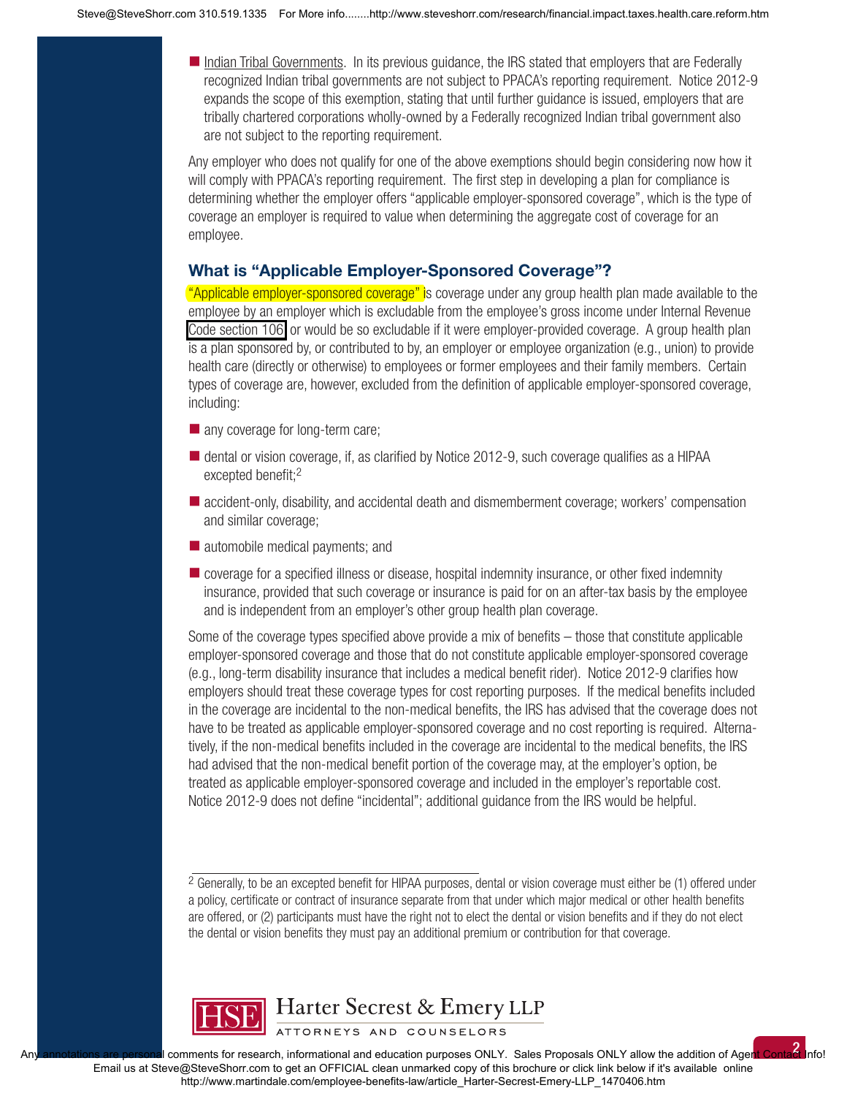Indian Tribal Governments. In its previous guidance, the IRS stated that employers that are Federally recognized Indian tribal governments are not subject to PPACA's reporting requirement. Notice 2012-9 expands the scope of this exemption, stating that until further guidance is issued, employers that are tribally chartered corporations wholly-owned by a Federally recognized Indian tribal government also are not subject to the reporting requirement.

Any employer who does not qualify for one of the above exemptions should begin considering now how it will comply with PPACA's reporting requirement. The first step in developing a plan for compliance is determining whether the employer offers "applicable employer-sponsored coverage", which is the type of coverage an employer is required to value when determining the aggregate cost of coverage for an employee.

#### What is "Applicable Employer-Sponsored Coverage"?

"Applicable employer-sponsored coverage" is coverage under any group health plan made available to the employee by an employer which is excludable from the employee's gross income under Internal Revenue [Code section 106,](http://www.steveshorr.com/AB_1672_Small_Group_Guaranteed_Issue/ic_10700_carrier_requirements.htm) or would be so excludable if it were employer-provided coverage. A group health plan is a plan sponsored by, or contributed to by, an employer or employee organization (e.g., union) to provide health care (directly or otherwise) to employees or former employees and their family members. Certain types of coverage are, however, excluded from the definition of applicable employer-sponsored coverage, including:

- any coverage for long-term care;
- $\blacksquare$  dental or vision coverage, if, as clarified by Notice 2012-9, such coverage qualifies as a HIPAA excepted benefit:<sup>2</sup>
- accident-only, disability, and accidental death and dismemberment coverage; workers' compensation and similar coverage;
- automobile medical payments; and
- $\blacksquare$  coverage for a specified illness or disease, hospital indemnity insurance, or other fixed indemnity insurance, provided that such coverage or insurance is paid for on an after-tax basis by the employee and is independent from an employer's other group health plan coverage.

Some of the coverage types specified above provide a mix of benefits  $-$  those that constitute applicable employer-sponsored coverage and those that do not constitute applicable employer-sponsored coverage (e.g., long-term disability insurance that includes a medical benefit rider). Notice 2012-9 clarifies how employers should treat these coverage types for cost reporting purposes. If the medical benefits included in the coverage are incidental to the non-medical benefits, the IRS has advised that the coverage does not have to be treated as applicable employer-sponsored coverage and no cost reporting is required. Alternatively, if the non-medical benefits included in the coverage are incidental to the medical benefits, the IRS had advised that the non-medical benefit portion of the coverage may, at the employer's option, be treated as applicable employer-sponsored coverage and included in the employer's reportable cost. Notice 2012-9 does not define "incidental"; additional guidance from the IRS would be helpful.

<sup>2</sup> Generally, to be an excepted benefit for HIPAA purposes, dental or vision coverage must either be (1) offered under a policy, certificate or contract of insurance separate from that under which major medical or other health benefits are offered, or (2) participants must have the right not to elect the dental or vision benefits and if they do not elect the dental or vision benefits they must pay an additional premium or contribution for that coverage.

2



Harter Secrest & Emery LLP

ATTORNEYS AND COUNSELORS

comments for research, informational and education purposes ONLY. Sales Proposals ONLY allow the addition of Agen Email us at Steve@SteveShorr.com to get an OFFICIAL clean unmarked copy of this brochure or click link below if it's available online http://www.martindale.com/employee-benefits-law/article\_Harter-Secrest-Emery-LLP\_1470406.htm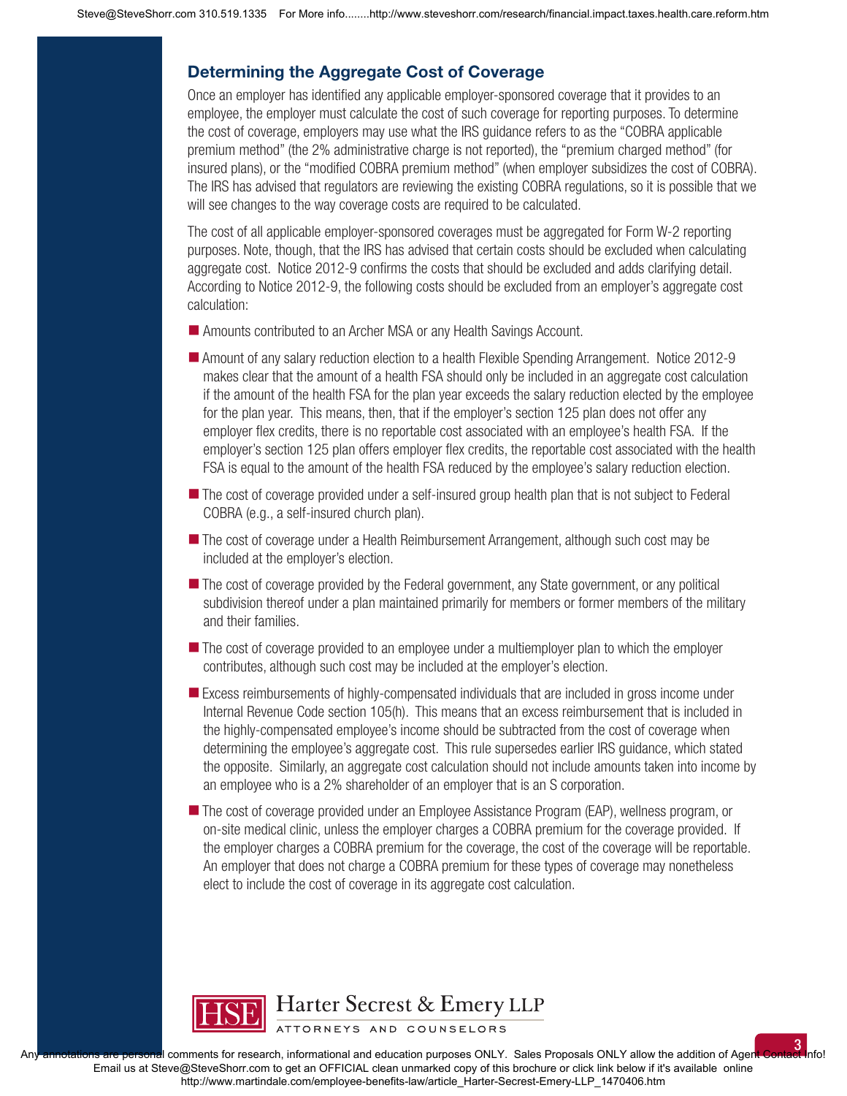### Determining the Aggregate Cost of Coverage

Once an employer has identified any applicable employer-sponsored coverage that it provides to an employee, the employer must calculate the cost of such coverage for reporting purposes. To determine the cost of coverage, employers may use what the IRS guidance refers to as the "COBRA applicable premium method" (the 2% administrative charge is not reported), the "premium charged method" (for insured plans), or the "modified COBRA premium method" (when employer subsidizes the cost of COBRA). The IRS has advised that regulators are reviewing the existing COBRA regulations, so it is possible that we will see changes to the way coverage costs are required to be calculated.

The cost of all applicable employer-sponsored coverages must be aggregated for Form W-2 reporting purposes. Note, though, that the IRS has advised that certain costs should be excluded when calculating aggregate cost. Notice 2012-9 confirms the costs that should be excluded and adds clarifying detail. According to Notice 2012-9, the following costs should be excluded from an employer's aggregate cost calculation:

- Amounts contributed to an Archer MSA or any Health Savings Account.
- Amount of any salary reduction election to a health Flexible Spending Arrangement. Notice 2012-9 makes clear that the amount of a health FSA should only be included in an aggregate cost calculation if the amount of the health FSA for the plan year exceeds the salary reduction elected by the employee for the plan year. This means, then, that if the employer's section 125 plan does not offer any employer flex credits, there is no reportable cost associated with an employee's health FSA. If the employer's section 125 plan offers employer flex credits, the reportable cost associated with the health FSA is equal to the amount of the health FSA reduced by the employee's salary reduction election.
- The cost of coverage provided under a self-insured group health plan that is not subject to Federal COBRA (e.g., a self-insured church plan).
- The cost of coverage under a Health Reimbursement Arrangement, although such cost may be included at the employer's election.
- The cost of coverage provided by the Federal government, any State government, or any political subdivision thereof under a plan maintained primarily for members or former members of the military and their families.
- **The cost of coverage provided to an employee under a multiemployer plan to which the employer** contributes, although such cost may be included at the employer's election.
- **Excess reimbursements of highly-compensated individuals that are included in gross income under** Internal Revenue Code section 105(h). This means that an excess reimbursement that is included in the highly-compensated employee's income should be subtracted from the cost of coverage when determining the employee's aggregate cost. This rule supersedes earlier IRS guidance, which stated the opposite. Similarly, an aggregate cost calculation should not include amounts taken into income by an employee who is a 2% shareholder of an employer that is an S corporation.
- The cost of coverage provided under an Employee Assistance Program (EAP), wellness program, or on-site medical clinic, unless the employer charges a COBRA premium for the coverage provided. If the employer charges a COBRA premium for the coverage, the cost of the coverage will be reportable. An employer that does not charge a COBRA premium for these types of coverage may nonetheless elect to include the cost of coverage in its aggregate cost calculation.



Harter Secrest & Emery LLP

ATTORNEYS AND COUNSELORS

3 A comments for research, informational and education purposes ONLY. Sales Proposals ONLY allow the addition of Agent Email us at Steve@SteveShorr.com to get an OFFICIAL clean unmarked copy of this brochure or click link below if it's available online http://www.martindale.com/employee-benefits-law/article\_Harter-Secrest-Emery-LLP\_1470406.htm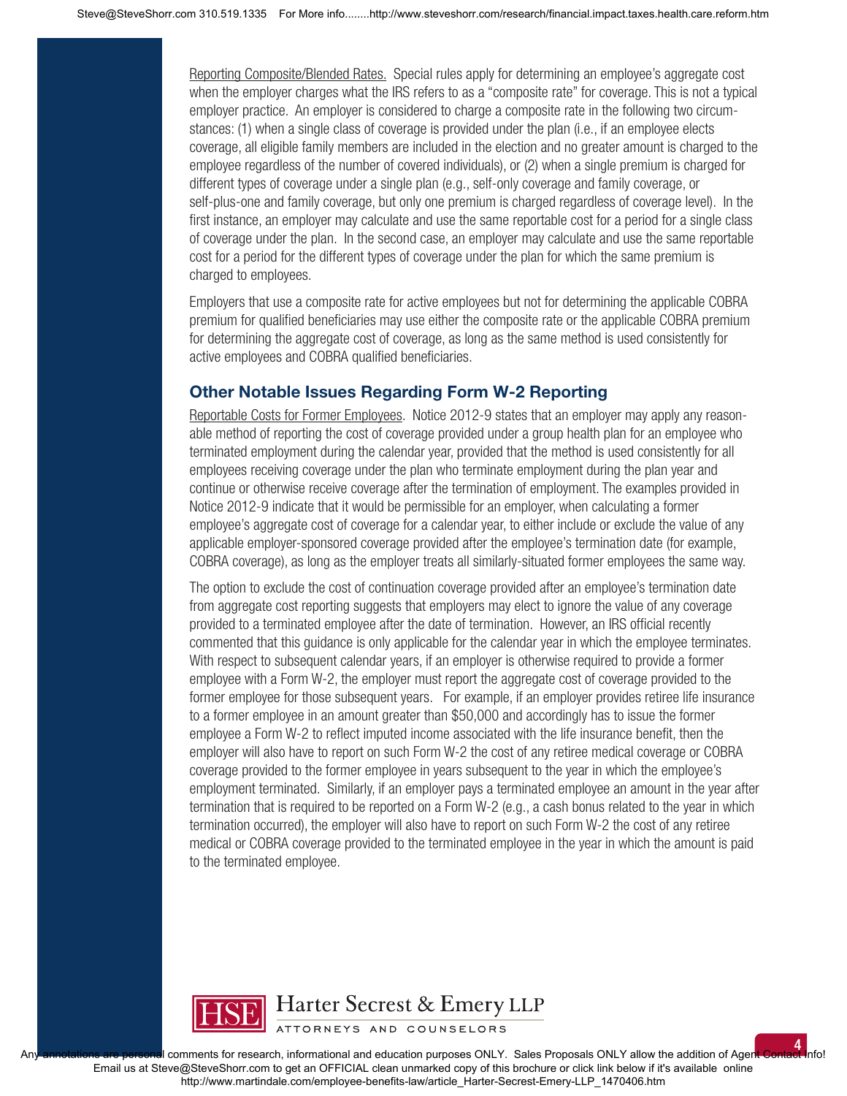Reporting Composite/Blended Rates. Special rules apply for determining an employee's aggregate cost when the employer charges what the IRS refers to as a "composite rate" for coverage. This is not a typical employer practice. An employer is considered to charge a composite rate in the following two circumstances: (1) when a single class of coverage is provided under the plan (i.e., if an employee elects coverage, all eligible family members are included in the election and no greater amount is charged to the employee regardless of the number of covered individuals), or (2) when a single premium is charged for different types of coverage under a single plan (e.g., self-only coverage and family coverage, or self-plus-one and family coverage, but only one premium is charged regardless of coverage level). In the first instance, an employer may calculate and use the same reportable cost for a period for a single class of coverage under the plan. In the second case, an employer may calculate and use the same reportable cost for a period for the different types of coverage under the plan for which the same premium is charged to employees.

Employers that use a composite rate for active employees but not for determining the applicable COBRA premium for qualified beneficiaries may use either the composite rate or the applicable COBRA premium for determining the aggregate cost of coverage, as long as the same method is used consistently for active employees and COBRA qualified beneficiaries.

#### Other Notable Issues Regarding Form W-2 Reporting

Reportable Costs for Former Employees. Notice 2012-9 states that an employer may apply any reasonable method of reporting the cost of coverage provided under a group health plan for an employee who terminated employment during the calendar year, provided that the method is used consistently for all employees receiving coverage under the plan who terminate employment during the plan year and continue or otherwise receive coverage after the termination of employment. The examples provided in Notice 2012-9 indicate that it would be permissible for an employer, when calculating a former employee's aggregate cost of coverage for a calendar year, to either include or exclude the value of any applicable employer-sponsored coverage provided after the employee's termination date (for example, COBRA coverage), as long as the employer treats all similarly-situated former employees the same way.

The option to exclude the cost of continuation coverage provided after an employee's termination date from aggregate cost reporting suggests that employers may elect to ignore the value of any coverage provided to a terminated employee after the date of termination. However, an IRS official recently commented that this guidance is only applicable for the calendar year in which the employee terminates. With respect to subsequent calendar years, if an employer is otherwise required to provide a former employee with a Form W-2, the employer must report the aggregate cost of coverage provided to the former employee for those subsequent years. For example, if an employer provides retiree life insurance to a former employee in an amount greater than \$50,000 and accordingly has to issue the former employee a Form W-2 to reflect imputed income associated with the life insurance benefit, then the employer will also have to report on such Form W-2 the cost of any retiree medical coverage or COBRA coverage provided to the former employee in years subsequent to the year in which the employee's employment terminated. Similarly, if an employer pays a terminated employee an amount in the year after termination that is required to be reported on a Form W-2 (e.g., a cash bonus related to the year in which termination occurred), the employer will also have to report on such Form W-2 the cost of any retiree medical or COBRA coverage provided to the terminated employee in the year in which the amount is paid to the terminated employee.



## Harter Secrest & Emery LLP

ATTORNEYS AND COUNSELORS

comments for research, informational and education purposes ONLY. Sales Proposals ONLY allow the addition of Agent Email us at Steve@SteveShorr.com to get an OFFICIAL clean unmarked copy of this brochure or click link below if it's available online http://www.martindale.com/employee-benefits-law/article\_Harter-Secrest-Emery-LLP\_1470406.htm

4